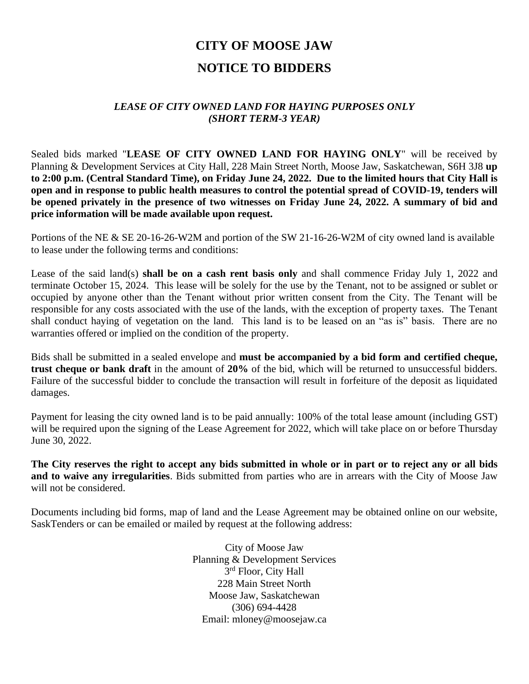# **CITY OF MOOSE JAW NOTICE TO BIDDERS**

### *LEASE OF CITY OWNED LAND FOR HAYING PURPOSES ONLY (SHORT TERM-3 YEAR)*

Sealed bids marked "**LEASE OF CITY OWNED LAND FOR HAYING ONLY**" will be received by Planning & Development Services at City Hall, 228 Main Street North, Moose Jaw, Saskatchewan, S6H 3J8 **up to 2:00 p.m. (Central Standard Time), on Friday June 24, 2022. Due to the limited hours that City Hall is open and in response to public health measures to control the potential spread of COVID-19, tenders will be opened privately in the presence of two witnesses on Friday June 24, 2022. A summary of bid and price information will be made available upon request.**

Portions of the NE & SE 20-16-26-W2M and portion of the SW 21-16-26-W2M of city owned land is available to lease under the following terms and conditions:

Lease of the said land(s) **shall be on a cash rent basis only** and shall commence Friday July 1, 2022 and terminate October 15, 2024. This lease will be solely for the use by the Tenant, not to be assigned or sublet or occupied by anyone other than the Tenant without prior written consent from the City. The Tenant will be responsible for any costs associated with the use of the lands, with the exception of property taxes. The Tenant shall conduct haying of vegetation on the land. This land is to be leased on an "as is" basis. There are no warranties offered or implied on the condition of the property.

Bids shall be submitted in a sealed envelope and **must be accompanied by a bid form and certified cheque, trust cheque or bank draft** in the amount of **20%** of the bid, which will be returned to unsuccessful bidders. Failure of the successful bidder to conclude the transaction will result in forfeiture of the deposit as liquidated damages.

Payment for leasing the city owned land is to be paid annually: 100% of the total lease amount (including GST) will be required upon the signing of the Lease Agreement for 2022, which will take place on or before Thursday June 30, 2022.

**The City reserves the right to accept any bids submitted in whole or in part or to reject any or all bids and to waive any irregularities**. Bids submitted from parties who are in arrears with the City of Moose Jaw will not be considered.

Documents including bid forms, map of land and the Lease Agreement may be obtained online on our website, SaskTenders or can be emailed or mailed by request at the following address:

> City of Moose Jaw Planning & Development Services 3<sup>rd</sup> Floor, City Hall 228 Main Street North Moose Jaw, Saskatchewan (306) 694-4428 Email: mloney@moosejaw.ca